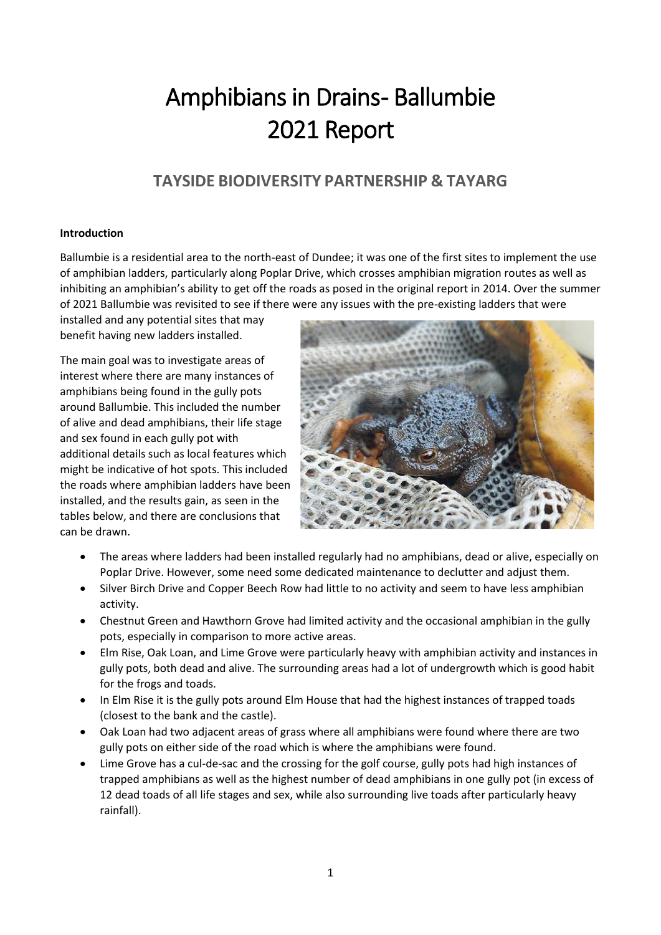# Amphibians in Drains- Ballumbie 2021 Report

## **TAYSIDE BIODIVERSITY PARTNERSHIP & TAYARG**

#### **Introduction**

Ballumbie is a residential area to the north-east of Dundee; it was one of the first sites to implement the use of amphibian ladders, particularly along Poplar Drive, which crosses amphibian migration routes as well as inhibiting an amphibian's ability to get off the roads as posed in the original report in 2014. Over the summer of 2021 Ballumbie was revisited to see if there were any issues with the pre-existing ladders that were

installed and any potential sites that may benefit having new ladders installed.

The main goal was to investigate areas of interest where there are many instances of amphibians being found in the gully pots around Ballumbie. This included the number of alive and dead amphibians, their life stage and sex found in each gully pot with additional details such as local features which might be indicative of hot spots. This included the roads where amphibian ladders have been installed, and the results gain, as seen in the tables below, and there are conclusions that can be drawn.



- The areas where ladders had been installed regularly had no amphibians, dead or alive, especially on Poplar Drive. However, some need some dedicated maintenance to declutter and adjust them.
- Silver Birch Drive and Copper Beech Row had little to no activity and seem to have less amphibian activity.
- Chestnut Green and Hawthorn Grove had limited activity and the occasional amphibian in the gully pots, especially in comparison to more active areas.
- Elm Rise, Oak Loan, and Lime Grove were particularly heavy with amphibian activity and instances in gully pots, both dead and alive. The surrounding areas had a lot of undergrowth which is good habit for the frogs and toads.
- In Elm Rise it is the gully pots around Elm House that had the highest instances of trapped toads (closest to the bank and the castle).
- Oak Loan had two adjacent areas of grass where all amphibians were found where there are two gully pots on either side of the road which is where the amphibians were found.
- Lime Grove has a cul-de-sac and the crossing for the golf course, gully pots had high instances of trapped amphibians as well as the highest number of dead amphibians in one gully pot (in excess of 12 dead toads of all life stages and sex, while also surrounding live toads after particularly heavy rainfall).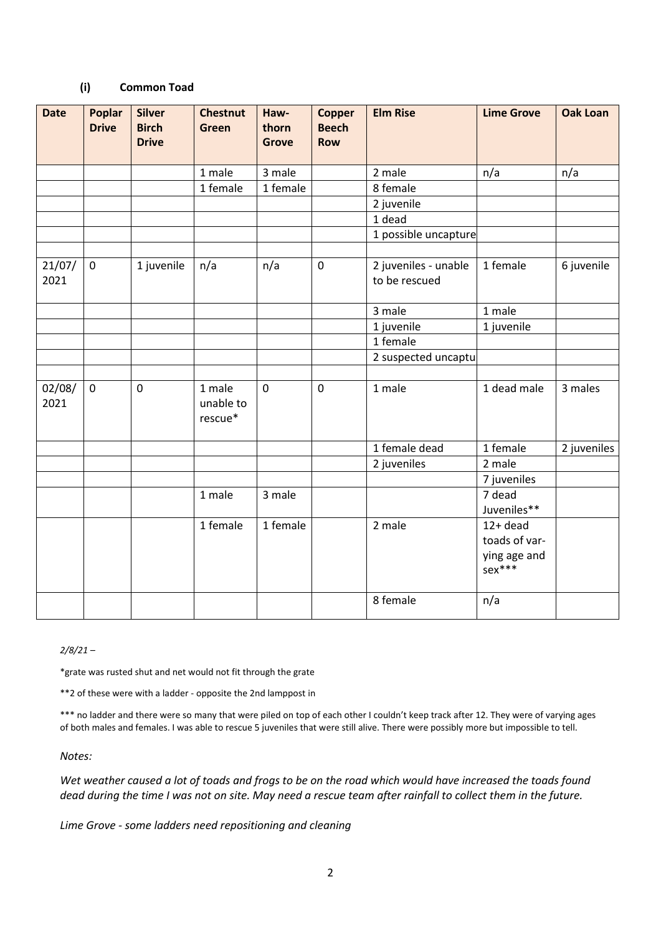#### **(i) Common Toad**

| <b>Date</b>    | <b>Poplar</b><br><b>Drive</b> | <b>Silver</b><br><b>Birch</b><br><b>Drive</b> | <b>Chestnut</b><br><b>Green</b> | Haw-<br>thorn<br><b>Grove</b> | <b>Copper</b><br><b>Beech</b><br><b>Row</b> | <b>Elm Rise</b>                       | <b>Lime Grove</b>                                       | <b>Oak Loan</b> |
|----------------|-------------------------------|-----------------------------------------------|---------------------------------|-------------------------------|---------------------------------------------|---------------------------------------|---------------------------------------------------------|-----------------|
|                |                               |                                               | 1 male                          | 3 male                        |                                             | 2 male                                | n/a                                                     | n/a             |
|                |                               |                                               | 1 female                        | 1 female                      |                                             | 8 female                              |                                                         |                 |
|                |                               |                                               |                                 |                               |                                             | 2 juvenile                            |                                                         |                 |
|                |                               |                                               |                                 |                               |                                             | 1 dead                                |                                                         |                 |
|                |                               |                                               |                                 |                               |                                             | 1 possible uncapture                  |                                                         |                 |
|                |                               |                                               |                                 |                               |                                             |                                       |                                                         |                 |
| 21/07/<br>2021 | $\pmb{0}$                     | 1 juvenile                                    | n/a                             | n/a                           | $\pmb{0}$                                   | 2 juveniles - unable<br>to be rescued | 1 female                                                | 6 juvenile      |
|                |                               |                                               |                                 |                               |                                             | 3 male                                | 1 male                                                  |                 |
|                |                               |                                               |                                 |                               |                                             | 1 juvenile                            | 1 juvenile                                              |                 |
|                |                               |                                               |                                 |                               |                                             | 1 female                              |                                                         |                 |
|                |                               |                                               |                                 |                               |                                             | 2 suspected uncaptu                   |                                                         |                 |
|                |                               |                                               |                                 |                               |                                             |                                       |                                                         |                 |
| 02/08/<br>2021 | $\mathbf 0$                   | $\mathbf 0$                                   | 1 male<br>unable to<br>rescue*  | $\mathbf 0$                   | $\mathbf 0$                                 | 1 male                                | 1 dead male                                             | 3 males         |
|                |                               |                                               |                                 |                               |                                             | 1 female dead                         | 1 female                                                | 2 juveniles     |
|                |                               |                                               |                                 |                               |                                             | 2 juveniles                           | 2 male                                                  |                 |
|                |                               |                                               |                                 |                               |                                             |                                       | 7 juveniles                                             |                 |
|                |                               |                                               | 1 male                          | 3 male                        |                                             |                                       | 7 dead                                                  |                 |
|                |                               |                                               |                                 |                               |                                             |                                       | Juveniles**                                             |                 |
|                |                               |                                               | 1 female                        | 1 female                      |                                             | 2 male                                | $12+$ dead<br>toads of var-<br>ying age and<br>$sex***$ |                 |
|                |                               |                                               |                                 |                               |                                             | 8 female                              | n/a                                                     |                 |

*2/8/21 –*

\*grate was rusted shut and net would not fit through the grate

\*\*2 of these were with a ladder - opposite the 2nd lamppost in

\*\*\* no ladder and there were so many that were piled on top of each other I couldn't keep track after 12. They were of varying ages of both males and females. I was able to rescue 5 juveniles that were still alive. There were possibly more but impossible to tell.

*Notes:*

*Wet weather caused a lot of toads and frogs to be on the road which would have increased the toads found dead during the time I was not on site. May need a rescue team after rainfall to collect them in the future.*

*Lime Grove - some ladders need repositioning and cleaning*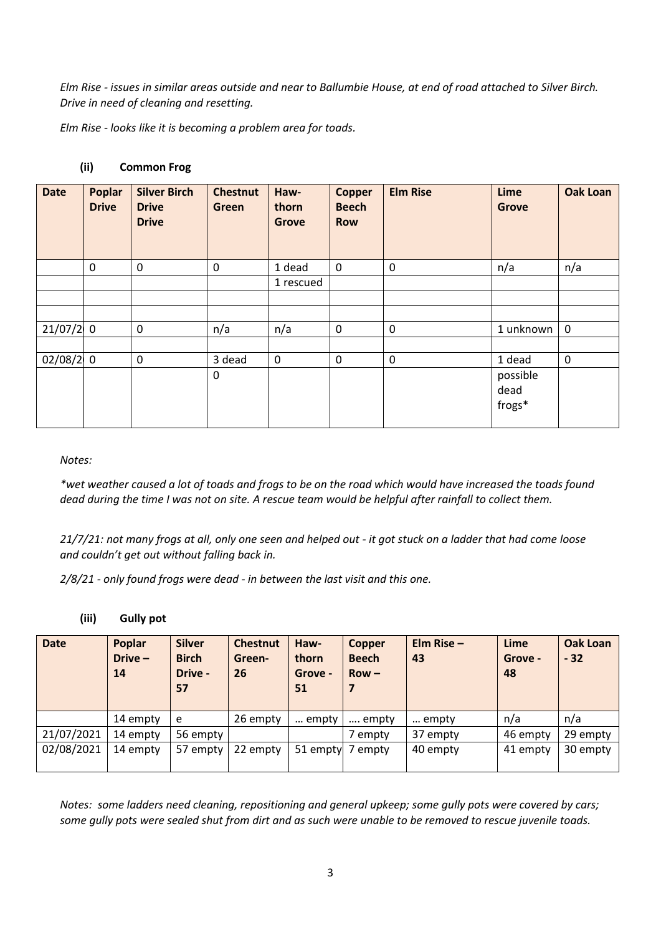*Elm Rise - issues in similar areas outside and near to Ballumbie House, at end of road attached to Silver Birch. Drive in need of cleaning and resetting.* 

*Elm Rise - looks like it is becoming a problem area for toads.*

| <b>Date</b> | <b>Poplar</b><br><b>Drive</b> | <b>Silver Birch</b><br><b>Drive</b><br><b>Drive</b> | <b>Chestnut</b><br>Green | Haw-<br>thorn<br><b>Grove</b> | <b>Copper</b><br><b>Beech</b><br><b>Row</b> | <b>Elm Rise</b>  | Lime<br><b>Grove</b> | <b>Oak Loan</b> |
|-------------|-------------------------------|-----------------------------------------------------|--------------------------|-------------------------------|---------------------------------------------|------------------|----------------------|-----------------|
|             | 0                             | $\mathbf 0$                                         | $\mathbf 0$              | 1 dead                        | $\mathbf 0$                                 | $\mathbf 0$      | n/a                  | n/a             |
|             |                               |                                                     |                          | 1 rescued                     |                                             |                  |                      |                 |
|             |                               |                                                     |                          |                               |                                             |                  |                      |                 |
|             |                               |                                                     |                          |                               |                                             |                  |                      |                 |
| $21/07/2$ 0 |                               | $\boldsymbol{0}$                                    | n/a                      | n/a                           | $\mathbf 0$                                 | $\boldsymbol{0}$ | 1 unknown            | $\mathbf 0$     |
|             |                               |                                                     |                          |                               |                                             |                  |                      |                 |
| $02/08/2$ 0 |                               | $\mathbf 0$                                         | 3 dead                   | $\mathbf 0$                   | $\mathbf 0$                                 | $\mathbf 0$      | 1 dead               | $\pmb{0}$       |
|             |                               |                                                     | 0                        |                               |                                             |                  | possible             |                 |
|             |                               |                                                     |                          |                               |                                             |                  | dead                 |                 |
|             |                               |                                                     |                          |                               |                                             |                  | frogs*               |                 |
|             |                               |                                                     |                          |                               |                                             |                  |                      |                 |

#### **(ii) Common Frog**

*Notes:*

*\*wet weather caused a lot of toads and frogs to be on the road which would have increased the toads found dead during the time I was not on site. A rescue team would be helpful after rainfall to collect them.*

*21/7/21: not many frogs at all, only one seen and helped out - it got stuck on a ladder that had come loose and couldn't get out without falling back in.* 

*2/8/21 - only found frogs were dead - in between the last visit and this one.*

**(iii) Gully pot**

| <b>Date</b> | Poplar<br>$Dirive -$<br>14 | <b>Silver</b><br><b>Birch</b><br>Drive -<br>57 | <b>Chestnut</b><br>Green-<br>26 | Haw-<br>thorn<br>Grove -<br>51 | Copper<br><b>Beech</b><br>$Row -$<br>7 | Elm Rise $-$<br>43 | Lime<br>Grove -<br>48 | Oak Loan<br>$-32$ |
|-------------|----------------------------|------------------------------------------------|---------------------------------|--------------------------------|----------------------------------------|--------------------|-----------------------|-------------------|
|             | 14 empty                   | e                                              | 26 empty                        | empty                          | empty                                  | empty              | n/a                   | n/a               |
| 21/07/2021  | 14 empty                   | 56 empty                                       |                                 |                                | 7 empty                                | 37 empty           | 46 empty              | 29 empty          |
| 02/08/2021  | 14 empty                   | 57 empty                                       | 22 empty                        |                                | 51 empty 7 empty                       | 40 empty           | 41 empty              | 30 empty          |

*Notes: some ladders need cleaning, repositioning and general upkeep; some gully pots were covered by cars; some gully pots were sealed shut from dirt and as such were unable to be removed to rescue juvenile toads.*